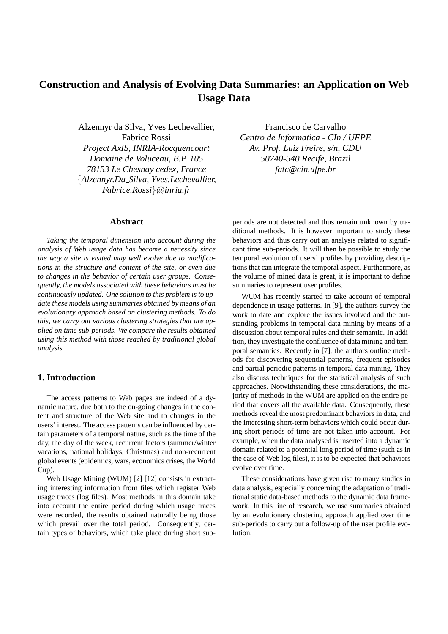# **Construction and Analysis of Evolving Data Summaries: an Application on Web Usage Data**

Alzennyr da Silva, Yves Lechevallier, Fabrice Rossi *Project AxIS, INRIA-Rocquencourt Domaine de Voluceau, B.P. 105 78153 Le Chesnay cedex, France* {*Alzennyr.Da Silva, Yves.Lechevallier, Fabrice.Rossi*}*@inria.fr*

#### **Abstract**

*Taking the temporal dimension into account during the analysis of Web usage data has become a necessity since the way a site is visited may well evolve due to modifications in the structure and content of the site, or even due to changes in the behavior of certain user groups. Consequently, the models associated with these behaviors must be continuously updated. One solution to this problem is to update these models using summaries obtained by means of an evolutionary approach based on clustering methods. To do this, we carry out various clustering strategies that are applied on time sub-periods. We compare the results obtained using this method with those reached by traditional global analysis.*

# **1. Introduction**

The access patterns to Web pages are indeed of a dynamic nature, due both to the on-going changes in the content and structure of the Web site and to changes in the users' interest. The access patterns can be influenced by certain parameters of a temporal nature, such as the time of the day, the day of the week, recurrent factors (summer/winter vacations, national holidays, Christmas) and non-recurrent global events (epidemics, wars, economics crises, the World Cup).

Web Usage Mining (WUM) [2] [12] consists in extracting interesting information from files which register Web usage traces (log files). Most methods in this domain take into account the entire period during which usage traces were recorded, the results obtained naturally being those which prevail over the total period. Consequently, certain types of behaviors, which take place during short sub-

Francisco de Carvalho *Centro de Informatica - CIn / UFPE Av. Prof. Luiz Freire, s/n, CDU 50740-540 Recife, Brazil fatc@cin.ufpe.br*

periods are not detected and thus remain unknown by traditional methods. It is however important to study these behaviors and thus carry out an analysis related to significant time sub-periods. It will then be possible to study the temporal evolution of users' profiles by providing descriptions that can integrate the temporal aspect. Furthermore, as the volume of mined data is great, it is important to define summaries to represent user profiles.

WUM has recently started to take account of temporal dependence in usage patterns. In [9], the authors survey the work to date and explore the issues involved and the outstanding problems in temporal data mining by means of a discussion about temporal rules and their semantic. In addition, they investigate the confluence of data mining and temporal semantics. Recently in [7], the authors outline methods for discovering sequential patterns, frequent episodes and partial periodic patterns in temporal data mining. They also discuss techniques for the statistical analysis of such approaches. Notwithstanding these considerations, the majority of methods in the WUM are applied on the entire period that covers all the available data. Consequently, these methods reveal the most predominant behaviors in data, and the interesting short-term behaviors which could occur during short periods of time are not taken into account. For example, when the data analysed is inserted into a dynamic domain related to a potential long period of time (such as in the case of Web log files), it is to be expected that behaviors evolve over time.

These considerations have given rise to many studies in data analysis, especially concerning the adaptation of traditional static data-based methods to the dynamic data framework. In this line of research, we use summaries obtained by an evolutionary clustering approach applied over time sub-periods to carry out a follow-up of the user profile evolution.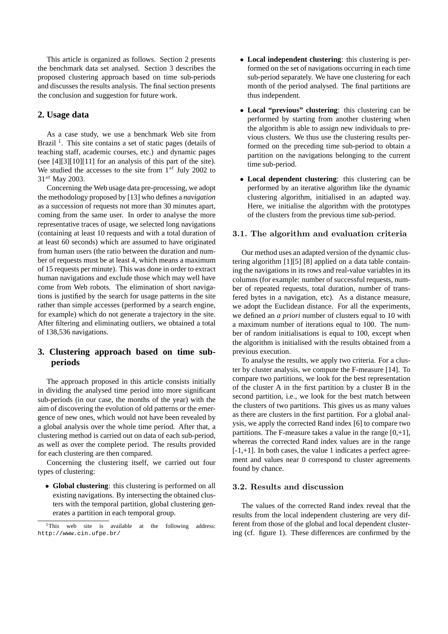This article is organized as follows. Section 2 presents the benchmark data set analysed. Section 3 describes the proposed clustering approach based on time sub-periods and discusses the results analysis. The final section presents the conclusion and suggestion for future work.

## **2. Usage data**

As a case study, we use a benchmark Web site from Brazil<sup>1</sup>. This site contains a set of static pages (details of teaching staff, academic courses, etc.) and dynamic pages (see [4][3][10][11] for an analysis of this part of the site). We studied the accesses to the site from  $1^{st}$  July 2002 to 31st May 2003.

Concerning the Web usage data pre-processing, we adopt the methodology proposed by [13] who defines a *navigation* as a succession of requests not more than 30 minutes apart, coming from the same user. In order to analyse the more representative traces of usage, we selected long navigations (containing at least 10 requests and with a total duration of at least 60 seconds) which are assumed to have originated from human users (the ratio between the duration and number of requests must be at least 4, which means a maximum of 15 requests per minute). This was done in order to extract human navigations and exclude those which may well have come from Web robots. The elimination of short navigations is justified by the search for usage patterns in the site rather than simple accesses (performed by a search engine, for example) which do not generate a trajectory in the site. After filtering and eliminating outliers, we obtained a total of 138,536 navigations.

# **3. Clustering approach based on time subperiods**

The approach proposed in this article consists initially in dividing the analysed time period into more significant sub-periods (in our case, the months of the year) with the aim of discovering the evolution of old patterns or the emergence of new ones, which would not have been revealed by a global analysis over the whole time period. After that, a clustering method is carried out on data of each sub-period, as well as over the complete period. The results provided for each clustering are then compared.

Concerning the clustering itself, we carried out four types of clustering:

• **Global clustering**: this clustering is performed on all existing navigations. By intersecting the obtained clusters with the temporal partition, global clustering generates a partition in each temporal group.

- **Local independent clustering**: this clustering is performed on the set of navigations occurring in each time sub-period separately. We have one clustering for each month of the period analysed. The final partitions are thus independent.
- **Local "previous" clustering**: this clustering can be performed by starting from another clustering when the algorithm is able to assign new individuals to previous clusters. We thus use the clustering results performed on the preceding time sub-period to obtain a partition on the navigations belonging to the current time sub-period.
- **Local dependent clustering**: this clustering can be performed by an iterative algorithm like the dynamic clustering algorithm, initialised in an adapted way. Here, we initialise the algorithm with the prototypes of the clusters from the previous time sub-period.

#### 3.1. The algorithm and evaluation criteria

Our method uses an adapted version of the dynamic clustering algorithm [1][5] [8] applied on a data table containing the navigations in its rows and real-value variables in its columns (for example: number of successful requests, number of repeated requests, total duration, number of transfered bytes in a navigation, etc). As a distance measure, we adopt the Euclidean distance. For all the experiments, we defined an *a priori* number of clusters equal to 10 with a maximum number of iterations equal to 100. The number of random initialisations is equal to 100, except when the algorithm is initialised with the results obtained from a previous execution.

To analyse the results, we apply two criteria. For a cluster by cluster analysis, we compute the F-measure [14]. To compare two partitions, we look for the best representation of the cluster A in the first partition by a cluster B in the second partition, i.e., we look for the best match between the clusters of two partitions. This gives us as many values as there are clusters in the first partition. For a global analysis, we apply the corrected Rand index [6] to compare two partitions. The F-measure takes a value in the range  $[0, +1]$ , whereas the corrected Rand index values are in the range  $[-1,+1]$ . In both cases, the value 1 indicates a perfect agreement and values near 0 correspond to cluster agreements found by chance.

## 3.2. Results and discussion

The values of the corrected Rand index reveal that the results from the local independent clustering are very different from those of the global and local dependent clustering (cf. figure 1). These differences are confirmed by the

<sup>&</sup>lt;sup>1</sup>This web site is available at the following address: http://www.cin.ufpe.br/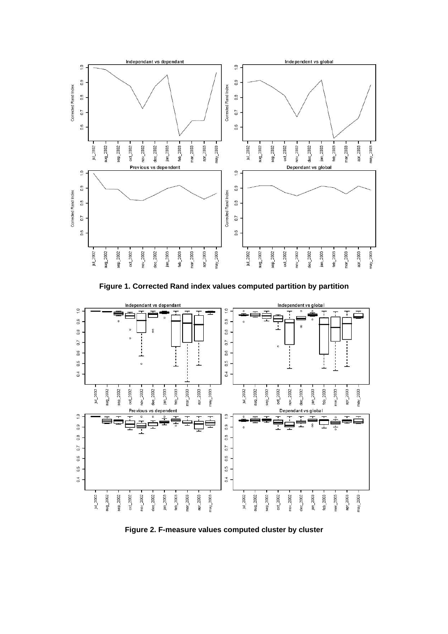

**Figure 1. Corrected Rand index values computed partition by partition**



**Figure 2. F-measure values computed cluster by cluster**